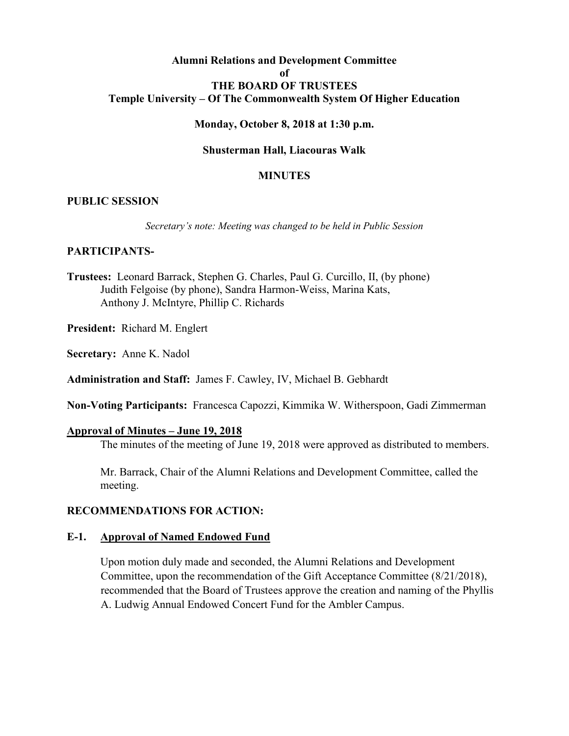## **Alumni Relations and Development Committee of THE BOARD OF TRUSTEES Temple University – Of The Commonwealth System Of Higher Education**

### **Monday, October 8, 2018 at 1:30 p.m.**

### **Shusterman Hall, Liacouras Walk**

### **MINUTES**

### **PUBLIC SESSION**

*Secretary's note: Meeting was changed to be held in Public Session*

### **PARTICIPANTS-**

- **Trustees:** Leonard Barrack, Stephen G. Charles, Paul G. Curcillo, II, (by phone) Judith Felgoise (by phone), Sandra Harmon-Weiss, Marina Kats, Anthony J. McIntyre, Phillip C. Richards
- **President:** Richard M. Englert
- **Secretary:** Anne K. Nadol

**Administration and Staff:** James F. Cawley, IV, Michael B. Gebhardt

**Non-Voting Participants:** Francesca Capozzi, Kimmika W. Witherspoon, Gadi Zimmerman

### **Approval of Minutes – June 19, 2018**

The minutes of the meeting of June 19, 2018 were approved as distributed to members.

Mr. Barrack, Chair of the Alumni Relations and Development Committee, called the meeting.

### **RECOMMENDATIONS FOR ACTION:**

### **E-1. Approval of Named Endowed Fund**

Upon motion duly made and seconded, the Alumni Relations and Development Committee, upon the recommendation of the Gift Acceptance Committee (8/21/2018), recommended that the Board of Trustees approve the creation and naming of the Phyllis A. Ludwig Annual Endowed Concert Fund for the Ambler Campus.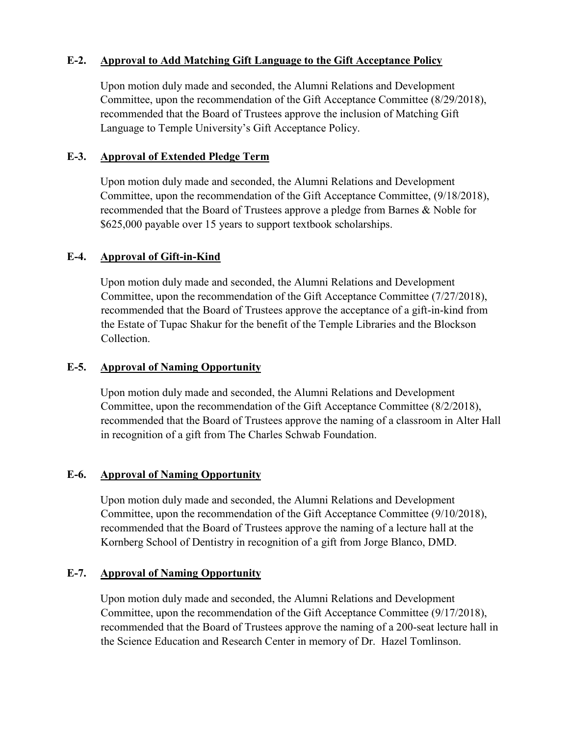## **E-2. Approval to Add Matching Gift Language to the Gift Acceptance Policy**

Upon motion duly made and seconded, the Alumni Relations and Development Committee, upon the recommendation of the Gift Acceptance Committee (8/29/2018), recommended that the Board of Trustees approve the inclusion of Matching Gift Language to Temple University's Gift Acceptance Policy.

## **E-3. Approval of Extended Pledge Term**

Upon motion duly made and seconded, the Alumni Relations and Development Committee, upon the recommendation of the Gift Acceptance Committee, (9/18/2018), recommended that the Board of Trustees approve a pledge from Barnes & Noble for \$625,000 payable over 15 years to support textbook scholarships.

## **E-4. Approval of Gift-in-Kind**

Upon motion duly made and seconded, the Alumni Relations and Development Committee, upon the recommendation of the Gift Acceptance Committee (7/27/2018), recommended that the Board of Trustees approve the acceptance of a gift-in-kind from the Estate of Tupac Shakur for the benefit of the Temple Libraries and the Blockson Collection.

## **E-5. Approval of Naming Opportunity**

Upon motion duly made and seconded, the Alumni Relations and Development Committee, upon the recommendation of the Gift Acceptance Committee (8/2/2018), recommended that the Board of Trustees approve the naming of a classroom in Alter Hall in recognition of a gift from The Charles Schwab Foundation.

### **E-6. Approval of Naming Opportunity**

Upon motion duly made and seconded, the Alumni Relations and Development Committee, upon the recommendation of the Gift Acceptance Committee (9/10/2018), recommended that the Board of Trustees approve the naming of a lecture hall at the Kornberg School of Dentistry in recognition of a gift from Jorge Blanco, DMD.

### **E-7. Approval of Naming Opportunity**

Upon motion duly made and seconded, the Alumni Relations and Development Committee, upon the recommendation of the Gift Acceptance Committee (9/17/2018), recommended that the Board of Trustees approve the naming of a 200-seat lecture hall in the Science Education and Research Center in memory of Dr. Hazel Tomlinson.